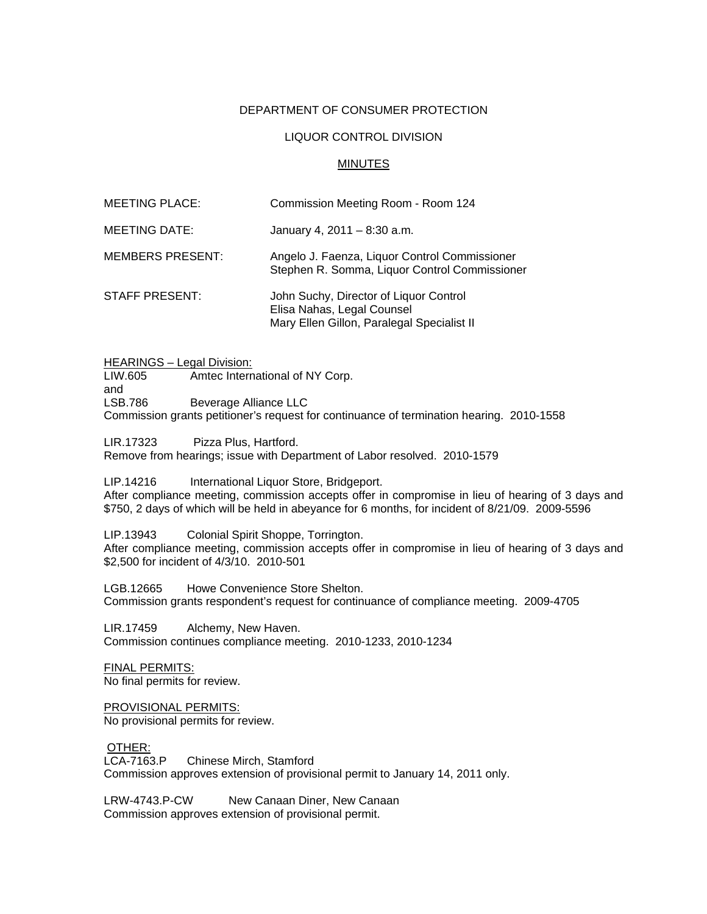## DEPARTMENT OF CONSUMER PROTECTION

## LIQUOR CONTROL DIVISION

## MINUTES

| MEETING PLACE:   | Commission Meeting Room - Room 124                                                                                 |
|------------------|--------------------------------------------------------------------------------------------------------------------|
| MEETING DATE:    | January 4, $2011 - 8:30$ a.m.                                                                                      |
| MEMBERS PRESENT: | Angelo J. Faenza, Liquor Control Commissioner<br>Stephen R. Somma, Liquor Control Commissioner                     |
| STAFF PRESENT:   | John Suchy, Director of Liquor Control<br>Elisa Nahas, Legal Counsel<br>Mary Ellen Gillon, Paralegal Specialist II |

HEARINGS – Legal Division:<br>LIW.605 – Amtec Intern Amtec International of NY Corp. and LSB.786 Beverage Alliance LLC Commission grants petitioner's request for continuance of termination hearing. 2010-1558

LIR.17323 Pizza Plus, Hartford. Remove from hearings; issue with Department of Labor resolved. 2010-1579

LIP.14216 International Liquor Store, Bridgeport.

After compliance meeting, commission accepts offer in compromise in lieu of hearing of 3 days and \$750, 2 days of which will be held in abeyance for 6 months, for incident of 8/21/09. 2009-5596

LIP.13943 Colonial Spirit Shoppe, Torrington. After compliance meeting, commission accepts offer in compromise in lieu of hearing of 3 days and \$2,500 for incident of 4/3/10. 2010-501

LGB.12665 Howe Convenience Store Shelton. Commission grants respondent's request for continuance of compliance meeting. 2009-4705

LIR.17459 Alchemy, New Haven. Commission continues compliance meeting. 2010-1233, 2010-1234

FINAL PERMITS: No final permits for review.

PROVISIONAL PERMITS: No provisional permits for review.

OTHER: LCA-7163.P Chinese Mirch, Stamford Commission approves extension of provisional permit to January 14, 2011 only.

LRW-4743.P-CW New Canaan Diner, New Canaan Commission approves extension of provisional permit.